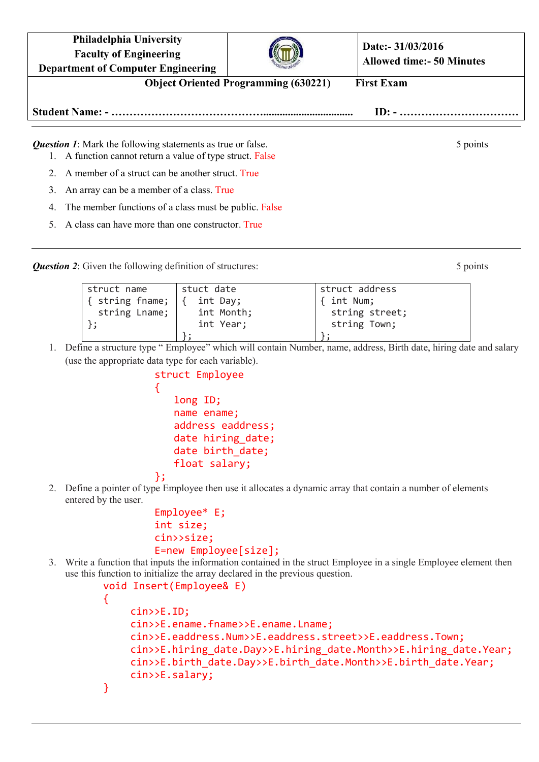| <b>Philadelphia University</b><br><b>Faculty of Engineering</b><br><b>Department of Computer Engineering</b>                    |  | Date:- 31/03/2016<br><b>Allowed time:- 50 Minutes</b> |  |
|---------------------------------------------------------------------------------------------------------------------------------|--|-------------------------------------------------------|--|
| <b>Object Oriented Programming (630221)</b><br><b>First Exam</b>                                                                |  |                                                       |  |
|                                                                                                                                 |  |                                                       |  |
| <b>Question 1:</b> Mark the following statements as true or false.<br>1. A function cannot return a value of type struct. False |  | 5 points                                              |  |
| A member of a struct can be another struct. True                                                                                |  |                                                       |  |
| An array can be a member of a class. True                                                                                       |  |                                                       |  |

- 4. The member functions of a class must be public. False
- 5. A class can have more than one constructor. True

*Question 2*: Given the following definition of structures: 5 points 5 points

struct name { string fname; string Lname; }; stuct date { int Day; int Month; int Year; }; struct address { int Num; string street; string Town; };

1. Define a structure type " Employee" which will contain Number, name, address, Birth date, hiring date and salary (use the appropriate data type for each variable).

```
struct Employee
{
   long ID;
   name ename;
   address eaddress;
   date hiring date;
   date birth_date;
   float salary;
};
```
2. Define a pointer of type Employee then use it allocates a dynamic array that contain a number of elements entered by the user.

```
Employee* E;
int size;
cin>>size;
E=new Employee[size];
```
3. Write a function that inputs the information contained in the struct Employee in a single Employee element then use this function to initialize the array declared in the previous question.

```
void Insert(Employee& E)
{
    cin>>E.ID;
    cin>>E.ename.fname>>E.ename.Lname;
    cin>>E.eaddress.Num>>E.eaddress.street>>E.eaddress.Town;
    cin>>E.hiring date.Day>>E.hiring date.Month>>E.hiring date.Year;
    cin>>E.birth date.Day>>E.birth date.Month>>E.birth date.Year;
    cin>>E.salary;
}
```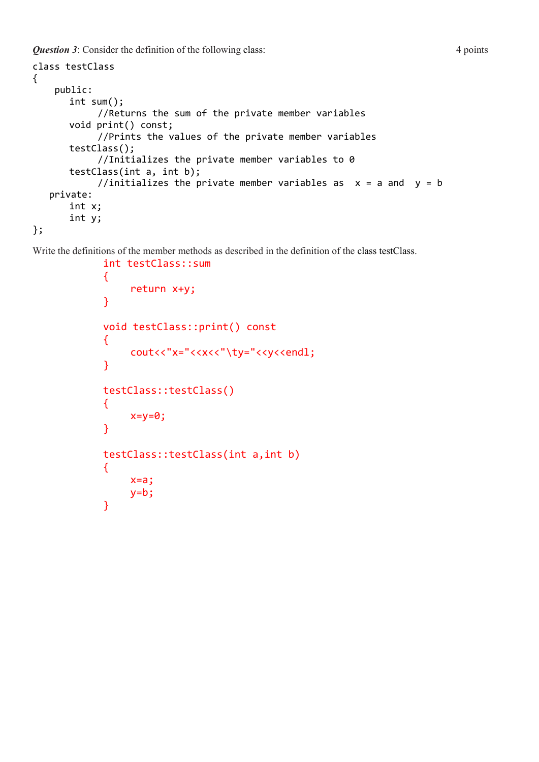*Question 3*: Consider the definition of the following class: 4 points

```
class testClass
{
     public:
      int sum();
            //Returns the sum of the private member variables
      void print() const;
            //Prints the values of the private member variables
      testClass();
            //Initializes the private member variables to 0
      testClass(int a, int b);
            //initializes the private member variables as x = a and y = b private:
      int x;
      int y;
};
```
Write the definitions of the member methods as described in the definition of the class testClass.

```
int testClass::sum
\{return x+y;
}
void testClass::print() const
{
    cout<<"x="<<x<<"\ty="<<y<<endl;
}
testClass::testClass()
{
    x=y=0;}
testClass::testClass(int a,int b)
{
    x=a;
    y=b;}
```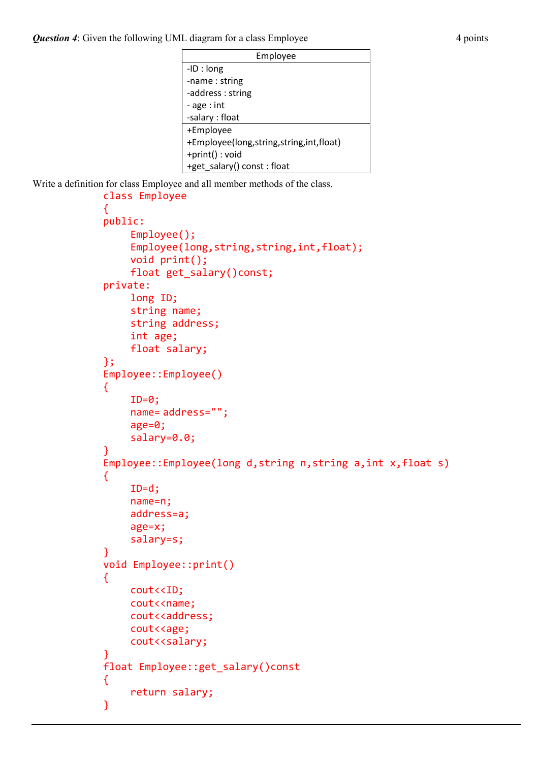| Employee                                    |  |
|---------------------------------------------|--|
| $-ID: long$                                 |  |
| -name: string                               |  |
| -address: string                            |  |
| - age : int                                 |  |
| -salary : float                             |  |
| +Employee                                   |  |
| +Employee(long, string, string, int, float) |  |
| +print(): void                              |  |
| +get_salary() const: float                  |  |

Write a definition for class Employee and all member methods of the class.

```
class Employee
{
public:
    Employee();
    Employee(long,string,string,int,float);
    void print();
    float get_salary()const;
private:
    long ID;
    string name;
    string address;
    int age;
    float salary;
};
Employee::Employee()
{
    ID=0;
    name= address="";
    age=0;
    salary=0.0;
}
Employee::Employee(long d,string n,string a,int x,float s)
{
    ID=d;
    name=n;
    address=a;
    age=x;
    salary=s;
}
void Employee::print()
{
    cout<<ID;
    cout<<name;
    cout<<address;
    cout<<age;
    cout<<salary;
}
float Employee::get_salary()const
{
    return salary;
}
```